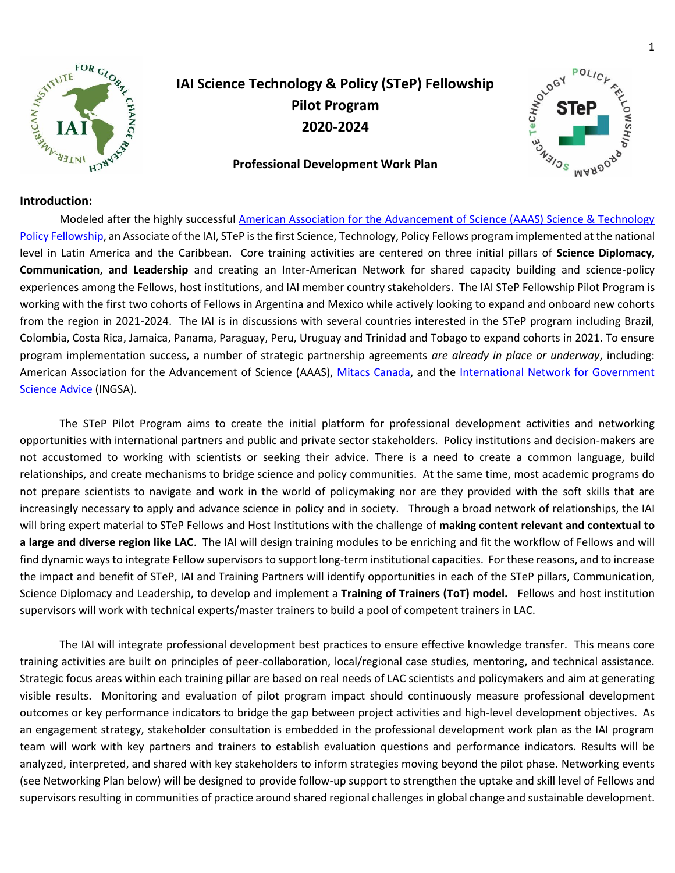

# **IAI Science Technology & Policy (STeP) Fellowship Pilot Program 2020-2024**

#### **Professional Development Work Plan**



#### **Introduction:**

Modeled after the highly successful [American Association for the Advancement of Science \(AAAS\) Science & Technology](https://www.aaas.org/programs/science-technology-policy-fellowships)  [Policy Fellowship,](https://www.aaas.org/programs/science-technology-policy-fellowships) an Associate of the IAI, STeP is the first Science, Technology, Policy Fellows program implemented at the national level in Latin America and the Caribbean. Core training activities are centered on three initial pillars of **Science Diplomacy, Communication, and Leadership** and creating an Inter-American Network for shared capacity building and science-policy experiences among the Fellows, host institutions, and IAI member country stakeholders. The IAI STeP Fellowship Pilot Program is working with the first two cohorts of Fellows in Argentina and Mexico while actively looking to expand and onboard new cohorts from the region in 2021-2024. The IAI is in discussions with several countries interested in the STeP program including Brazil, Colombia, Costa Rica, Jamaica, Panama, Paraguay, Peru, Uruguay and Trinidad and Tobago to expand cohorts in 2021. To ensure program implementation success, a number of strategic partnership agreements *are already in place or underway*, including: American Association for the Advancement of Science (AAAS), [Mitacs Canada,](https://www.mitacs.ca/en/programs/canadian-science-policy-fellowship) and the [International Network for Government](https://www.ingsa.org/)  [Science Advice](https://www.ingsa.org/) (INGSA).

The STeP Pilot Program aims to create the initial platform for professional development activities and networking opportunities with international partners and public and private sector stakeholders. Policy institutions and decision-makers are not accustomed to working with scientists or seeking their advice. There is a need to create a common language, build relationships, and create mechanisms to bridge science and policy communities. At the same time, most academic programs do not prepare scientists to navigate and work in the world of policymaking nor are they provided with the soft skills that are increasingly necessary to apply and advance science in policy and in society. Through a broad network of relationships, the IAI will bring expert material to STeP Fellows and Host Institutions with the challenge of **making content relevant and contextual to a large and diverse region like LAC**. The IAI will design training modules to be enriching and fit the workflow of Fellows and will find dynamic ways to integrate Fellow supervisors to support long-term institutional capacities. For these reasons, and to increase the impact and benefit of STeP, IAI and Training Partners will identify opportunities in each of the STeP pillars, Communication, Science Diplomacy and Leadership, to develop and implement a **Training of Trainers (ToT) model.** Fellows and host institution supervisors will work with technical experts/master trainers to build a pool of competent trainers in LAC.

The IAI will integrate professional development best practices to ensure effective knowledge transfer. This means core training activities are built on principles of peer-collaboration, local/regional case studies, mentoring, and technical assistance. Strategic focus areas within each training pillar are based on real needs of LAC scientists and policymakers and aim at generating visible results. Monitoring and evaluation of pilot program impact should continuously measure professional development outcomes or key performance indicators to bridge the gap between project activities and high-level development objectives. As an engagement strategy, stakeholder consultation is embedded in the professional development work plan as the IAI program team will work with key partners and trainers to establish evaluation questions and performance indicators. Results will be analyzed, interpreted, and shared with key stakeholders to inform strategies moving beyond the pilot phase. Networking events (see Networking Plan below) will be designed to provide follow-up support to strengthen the uptake and skill level of Fellows and supervisors resulting in communities of practice around shared regional challenges in global change and sustainable development.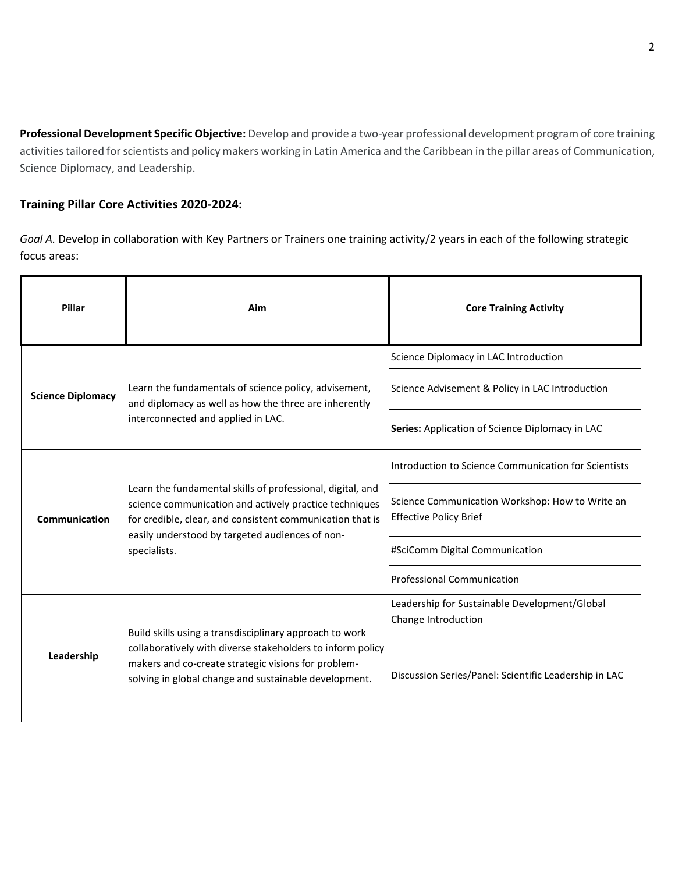**Professional Development Specific Objective:** Develop and provide a two-year professional development program of core training activities tailored for scientists and policy makers working in Latin America and the Caribbean in the pillar areas of Communication, Science Diplomacy, and Leadership.

# **Training Pillar Core Activities 2020-2024:**

*Goal A.* Develop in collaboration with Key Partners or Trainers one training activity/2 years in each of the following strategic focus areas:

| Pillar                   | Aim                                                                                                                                                                                                                                                  | <b>Core Training Activity</b>                                                    |
|--------------------------|------------------------------------------------------------------------------------------------------------------------------------------------------------------------------------------------------------------------------------------------------|----------------------------------------------------------------------------------|
| <b>Science Diplomacy</b> | Learn the fundamentals of science policy, advisement,<br>and diplomacy as well as how the three are inherently<br>interconnected and applied in LAC.                                                                                                 | Science Diplomacy in LAC Introduction                                            |
|                          |                                                                                                                                                                                                                                                      | Science Advisement & Policy in LAC Introduction                                  |
|                          |                                                                                                                                                                                                                                                      | Series: Application of Science Diplomacy in LAC                                  |
| Communication            | Learn the fundamental skills of professional, digital, and<br>science communication and actively practice techniques<br>for credible, clear, and consistent communication that is<br>easily understood by targeted audiences of non-<br>specialists. | Introduction to Science Communication for Scientists                             |
|                          |                                                                                                                                                                                                                                                      | Science Communication Workshop: How to Write an<br><b>Effective Policy Brief</b> |
|                          |                                                                                                                                                                                                                                                      | #SciComm Digital Communication                                                   |
|                          |                                                                                                                                                                                                                                                      | <b>Professional Communication</b>                                                |
| Leadership               | Build skills using a transdisciplinary approach to work<br>collaboratively with diverse stakeholders to inform policy<br>makers and co-create strategic visions for problem-<br>solving in global change and sustainable development.                | Leadership for Sustainable Development/Global<br>Change Introduction             |
|                          |                                                                                                                                                                                                                                                      | Discussion Series/Panel: Scientific Leadership in LAC                            |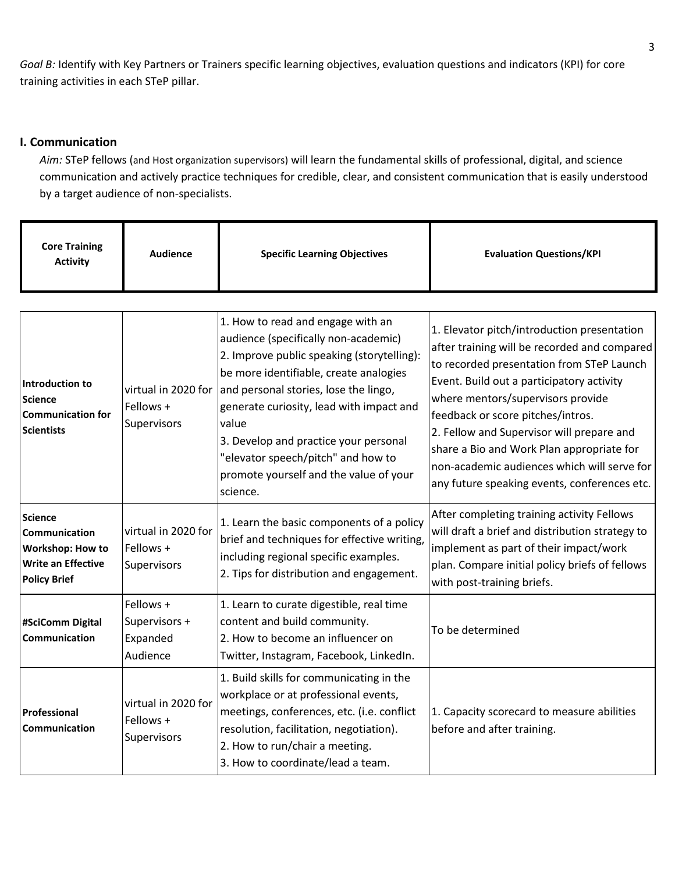*Goal B:* Identify with Key Partners or Trainers specific learning objectives, evaluation questions and indicators (KPI) for core training activities in each STeP pillar.

### **I. Communication**

*Aim:* STeP fellows (and Host organization supervisors) will learn the fundamental skills of professional, digital, and science communication and actively practice techniques for credible, clear, and consistent communication that is easily understood by a target audience of non-specialists.

| <b>Core Training</b><br><b>Activity</b>                                                                        | <b>Audience</b>                                    | <b>Specific Learning Objectives</b>                                                                                                                                                                                                                                                                                                                                                                  | <b>Evaluation Questions/KPI</b>                                                                                                                                                                                                                                                                                                                                                                                                                          |
|----------------------------------------------------------------------------------------------------------------|----------------------------------------------------|------------------------------------------------------------------------------------------------------------------------------------------------------------------------------------------------------------------------------------------------------------------------------------------------------------------------------------------------------------------------------------------------------|----------------------------------------------------------------------------------------------------------------------------------------------------------------------------------------------------------------------------------------------------------------------------------------------------------------------------------------------------------------------------------------------------------------------------------------------------------|
|                                                                                                                |                                                    |                                                                                                                                                                                                                                                                                                                                                                                                      |                                                                                                                                                                                                                                                                                                                                                                                                                                                          |
| Introduction to<br><b>Science</b><br><b>Communication for</b><br><b>Scientists</b>                             | virtual in 2020 for<br>Fellows +<br>Supervisors    | 1. How to read and engage with an<br>audience (specifically non-academic)<br>2. Improve public speaking (storytelling):<br>be more identifiable, create analogies<br>and personal stories, lose the lingo,<br>generate curiosity, lead with impact and<br>value<br>3. Develop and practice your personal<br>"elevator speech/pitch" and how to<br>promote yourself and the value of your<br>science. | 1. Elevator pitch/introduction presentation<br>after training will be recorded and compared<br>to recorded presentation from STeP Launch<br>Event. Build out a participatory activity<br>where mentors/supervisors provide<br>feedback or score pitches/intros.<br>2. Fellow and Supervisor will prepare and<br>share a Bio and Work Plan appropriate for<br>non-academic audiences which will serve for<br>any future speaking events, conferences etc. |
| <b>Science</b><br>Communication<br><b>Workshop: How to</b><br><b>Write an Effective</b><br><b>Policy Brief</b> | virtual in 2020 for<br>Fellows +<br>Supervisors    | 1. Learn the basic components of a policy<br>brief and techniques for effective writing,<br>including regional specific examples.<br>2. Tips for distribution and engagement.                                                                                                                                                                                                                        | After completing training activity Fellows<br>will draft a brief and distribution strategy to<br>implement as part of their impact/work<br>plan. Compare initial policy briefs of fellows<br>with post-training briefs.                                                                                                                                                                                                                                  |
| #SciComm Digital<br>Communication                                                                              | Fellows +<br>Supervisors +<br>Expanded<br>Audience | 1. Learn to curate digestible, real time<br>content and build community.<br>2. How to become an influencer on<br>Twitter, Instagram, Facebook, LinkedIn.                                                                                                                                                                                                                                             | To be determined                                                                                                                                                                                                                                                                                                                                                                                                                                         |
| Professional<br>Communication                                                                                  | virtual in 2020 for<br>Fellows +<br>Supervisors    | 1. Build skills for communicating in the<br>workplace or at professional events,<br>meetings, conferences, etc. (i.e. conflict<br>resolution, facilitation, negotiation).<br>2. How to run/chair a meeting.<br>3. How to coordinate/lead a team.                                                                                                                                                     | 1. Capacity scorecard to measure abilities<br>before and after training.                                                                                                                                                                                                                                                                                                                                                                                 |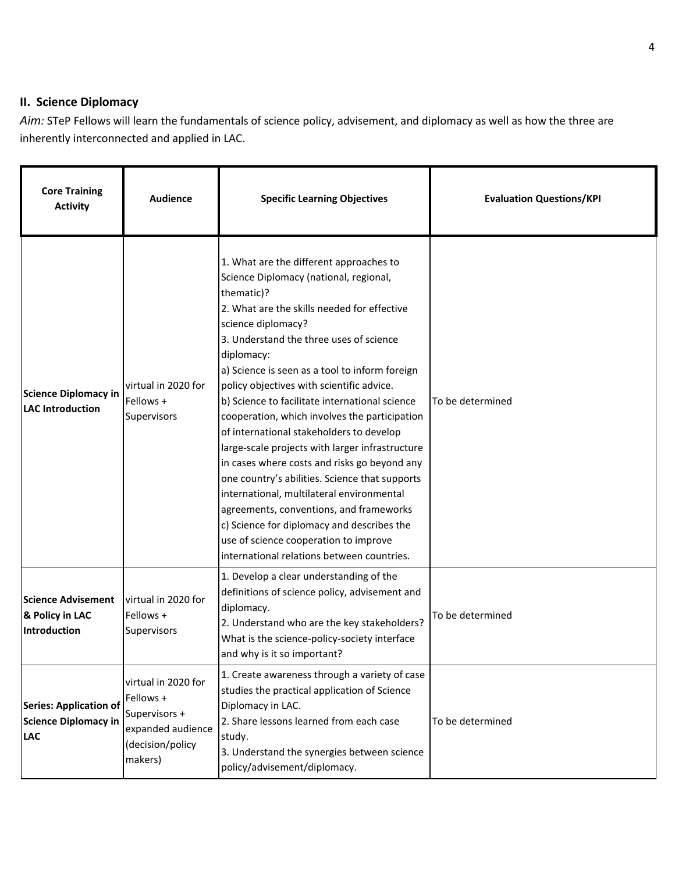# **II. Science Diplomacy**

*Aim:* STeP Fellows will learn the fundamentals of science policy, advisement, and diplomacy as well as how the three are inherently interconnected and applied in LAC.

| <b>Core Training</b><br><b>Activity</b>                                    | <b>Audience</b>                                                                                       | <b>Specific Learning Objectives</b>                                                                                                                                                                                                                                                                                                                                                                                                                                                                                                                                                                                                                                                                                                                                                                                                                           | <b>Evaluation Questions/KPI</b> |
|----------------------------------------------------------------------------|-------------------------------------------------------------------------------------------------------|---------------------------------------------------------------------------------------------------------------------------------------------------------------------------------------------------------------------------------------------------------------------------------------------------------------------------------------------------------------------------------------------------------------------------------------------------------------------------------------------------------------------------------------------------------------------------------------------------------------------------------------------------------------------------------------------------------------------------------------------------------------------------------------------------------------------------------------------------------------|---------------------------------|
| <b>Science Diplomacy in</b><br><b>LAC Introduction</b>                     | virtual in 2020 for<br>Fellows +<br>Supervisors                                                       | 1. What are the different approaches to<br>Science Diplomacy (national, regional,<br>thematic)?<br>2. What are the skills needed for effective<br>science diplomacy?<br>3. Understand the three uses of science<br>diplomacy:<br>a) Science is seen as a tool to inform foreign<br>policy objectives with scientific advice.<br>b) Science to facilitate international science<br>cooperation, which involves the participation<br>of international stakeholders to develop<br>large-scale projects with larger infrastructure<br>in cases where costs and risks go beyond any<br>one country's abilities. Science that supports<br>international, multilateral environmental<br>agreements, conventions, and frameworks<br>c) Science for diplomacy and describes the<br>use of science cooperation to improve<br>international relations between countries. | To be determined                |
| <b>Science Advisement</b><br>& Policy in LAC<br>Introduction               | virtual in 2020 for<br>Fellows +<br>Supervisors                                                       | 1. Develop a clear understanding of the<br>definitions of science policy, advisement and<br>diplomacy.<br>2. Understand who are the key stakeholders?<br>What is the science-policy-society interface<br>and why is it so important?                                                                                                                                                                                                                                                                                                                                                                                                                                                                                                                                                                                                                          | To be determined                |
| <b>Series: Application of</b><br><b>Science Diplomacy in</b><br><b>LAC</b> | virtual in 2020 for<br>Fellows +<br>Supervisors +<br>expanded audience<br>(decision/policy<br>makers) | 1. Create awareness through a variety of case<br>studies the practical application of Science<br>Diplomacy in LAC.<br>2. Share lessons learned from each case<br>study.<br>3. Understand the synergies between science<br>policy/advisement/diplomacy.                                                                                                                                                                                                                                                                                                                                                                                                                                                                                                                                                                                                        | To be determined                |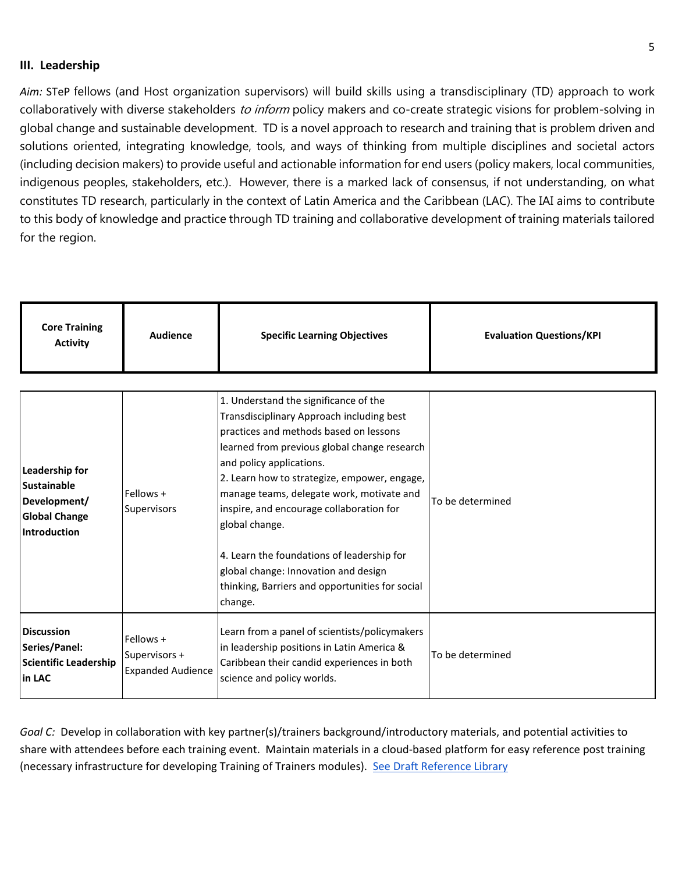#### **III. Leadership**

*Aim:* STeP fellows (and Host organization supervisors) will build skills using a transdisciplinary (TD) approach to work collaboratively with diverse stakeholders to inform policy makers and co-create strategic visions for problem-solving in global change and sustainable development. TD is a novel approach to research and training that is problem driven and solutions oriented, integrating knowledge, tools, and ways of thinking from multiple disciplines and societal actors (including decision makers) to provide useful and actionable information for end users (policy makers, local communities, indigenous peoples, stakeholders, etc.). However, there is a marked lack of consensus, if not understanding, on what constitutes TD research, particularly in the context of Latin America and the Caribbean (LAC). The IAI aims to contribute to this body of knowledge and practice through TD training and collaborative development of training materials tailored for the region.

| <b>Core Training</b><br><b>Specific Learning Objectives</b><br><b>Evaluation Questions/KPI</b><br>Audience<br><b>Activity</b> |  |
|-------------------------------------------------------------------------------------------------------------------------------|--|
|-------------------------------------------------------------------------------------------------------------------------------|--|

| Leadership for<br><b>Sustainable</b><br>Development/<br><b>Global Change</b><br><b>Introduction</b> | Fellows +<br>Supervisors                               | 1. Understand the significance of the<br>Transdisciplinary Approach including best<br>practices and methods based on lessons<br>learned from previous global change research<br>and policy applications.<br>2. Learn how to strategize, empower, engage,<br>manage teams, delegate work, motivate and<br>inspire, and encourage collaboration for<br>global change.<br>4. Learn the foundations of leadership for<br>global change: Innovation and design<br>thinking, Barriers and opportunities for social<br>change. | To be determined |
|-----------------------------------------------------------------------------------------------------|--------------------------------------------------------|-------------------------------------------------------------------------------------------------------------------------------------------------------------------------------------------------------------------------------------------------------------------------------------------------------------------------------------------------------------------------------------------------------------------------------------------------------------------------------------------------------------------------|------------------|
| <b>Discussion</b><br>Series/Panel:<br><b>Scientific Leadership</b><br>in LAC                        | Fellows +<br>Supervisors +<br><b>Expanded Audience</b> | Learn from a panel of scientists/policymakers<br>in leadership positions in Latin America &<br>Caribbean their candid experiences in both<br>science and policy worlds.                                                                                                                                                                                                                                                                                                                                                 | To be determined |

*Goal C:* Develop in collaboration with key partner(s)/trainers background/introductory materials, and potential activities to share with attendees before each training event. Maintain materials in a cloud-based platform for easy reference post training (necessary infrastructure for developing Training of Trainers modules). [See Draft Reference Library](https://docs.google.com/document/d/172F6kwyNtLj1DuXpv4Ekx-HSbo6nd9r9xyy8ehcV2ys/edit?usp=sharing)